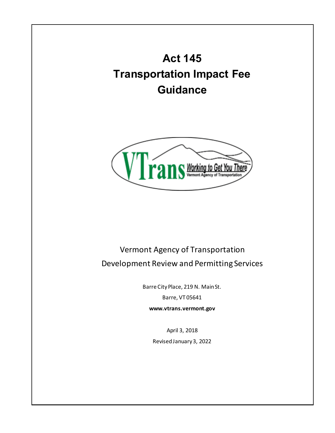**Act 145 Transportation Impact Fee Guidance**



# Vermont Agency of Transportation Development Review and Permitting Services

Barre City Place, 219 N. Main St. Barre, VT 05641

**www.vtrans.vermont.gov**

April 3, 2018 Revised January 3, 2022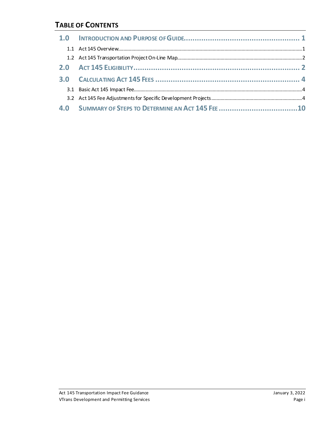### **TABLE OF CONTENTS**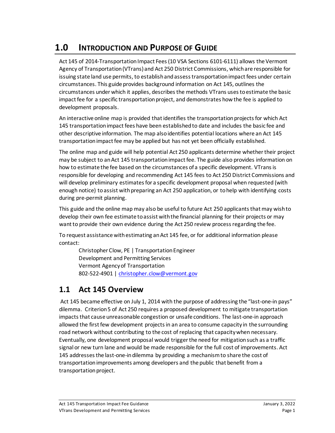# <span id="page-2-0"></span>**1.0 INTRODUCTION AND PURPOSE OF GUIDE**

Act 145 of 2014-Transportation Impact Fees (10 VSA Sections 6101-6111) allows the Vermont Agency of Transportation (VTrans) and Act 250 District Commissions, which are responsible for issuing state land use permits, to establish and assess transportation impact fees under certain circumstances. This guide provides background information on Act 145, outlines the circumstances under which it applies, describes the methods VTrans uses to estimate the basic impact fee for a specific transportation project, and demonstrates how the fee is applied to development proposals.

An interactive online map is provided that identifies the transportation projects for which Act 145 transportation impact fees have been established to date and includes the basic fee and other descriptive information. The map also identifies potential locations where an Act 145 transportation impact fee may be applied but has not yet been officially established.

The online map and guide will help potential Act 250 applicants determine whether their project may be subject to an Act 145 transportation impact fee. The guide also provides information on how to estimate the fee based on the circumstances of a specific development. VTrans is responsible for developing and recommending Act 145 fees to Act 250 District Commissions and will develop preliminary estimates for a specific development proposal when requested (with enough notice) to assist with preparing an Act 250 application, or to help with identifying costs during pre-permit planning.

This guide and the online map may also be useful to future Act 250 applicants that may wish to develop their own fee estimate to assist with the financial planning for their projects or may want to provide their own evidence during the Act 250 review process regarding the fee.

To request assistance with estimating an Act 145 fee, or for additional information please contact:

Christopher Clow, PE | Transportation Engineer Development and Permitting Services Vermont Agency of Transportation 802-522-4901 | [christopher.clow@vermont.gov](mailto:christopher.clow@vermont.gov)

## <span id="page-2-1"></span>**1.1 Act 145 Overview**

Act 145 became effective on July 1, 2014 with the purpose of addressing the "last-one-in pays" dilemma. Criterion 5 of Act 250 requires a proposed development to mitigate transportation impacts that cause unreasonable congestion or unsafe conditions. The last-one-in approach allowed the first few development projects in an area to consume capacity in the surrounding road network without contributing to the cost of replacing that capacity when necessary. Eventually, one development proposal would triggerthe need for mitigationsuch as a traffic signal or new turn lane and would be made responsible for the full cost of improvements. Act 145 addresses the last-one-in dilemma by providing a mechanism to share the cost of transportation improvements among developers and the public that benefit from a transportation project.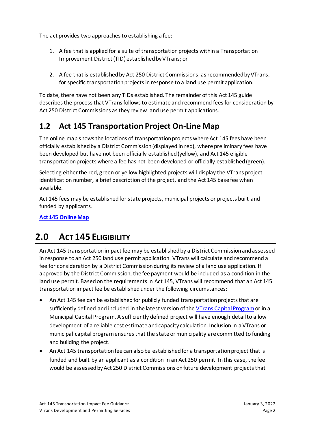The act provides two approaches to establishing a fee:

- 1. A fee that is applied for a suite of transportation projects within a Transportation Improvement District (TID) established by VTrans; or
- 2. A fee that is established by Act 250 District Commissions, as recommended by VTrans, for specific transportation projects in response to a land use permit application.

To date, there have not been any TIDs established. The remainder of this Act 145 guide describes the process that VTrans follows to estimate and recommend fees for consideration by Act 250 District Commissions as they review land use permit applications.

## <span id="page-3-0"></span>**1.2 Act 145 Transportation Project On-Line Map**

The online map shows the locations of transportation projects where Act 145 fees have been officially established by a District Commission (displayed in red), where preliminary fees have been developed but have not been officially established (yellow), and Act 145 eligible transportation projects where a fee has not been developed or officially established (green).

Selecting either the red, green or yellow highlighted projects will display the VTrans project identification number, a brief description of the project, and the Act 145 base fee when available.

Act 145 fees may be established for state projects, municipal projects or projects built and funded by applicants.

<span id="page-3-1"></span>**[Act 145 Online Map](http://vtrans.maps.arcgis.com/apps/webappviewer/index.html?id=a74b2eca848e4203ad551911e5824496)**

# **2.0 ACT 145 ELIGIBILITY**

An Act 145 transportation impact fee may be established by a District Commission and assessed in response to an Act 250 land use permit application. VTrans will calculate and recommend a fee for consideration by a District Commission during its review of a land use application. If approved by the District Commission, the fee payment would be included as a condition in the land use permit. Based on the requirements in Act 145, VTrans will recommend that an Act 145 transportation impact fee be established under the following circumstances:

- An Act 145 fee can be established for publicly funded transportation projects that are sufficiently defined and included in the latest version of the [VTrans Capital Program](http://vtrans.vermont.gov/about/capital-programs)or in a Municipal Capital Program. A sufficiently defined project will have enough detail to allow development of a reliable cost estimate and capacity calculation. Inclusion in a VTrans or municipal capital program ensures that the state or municipality are committed to funding and building the project.
- An Act 145 transportation fee can also be established for a transportation project that is funded and built by an applicant as a condition in an Act 250 permit. In this case, the fee would be assessed by Act 250 District Commissions on future development projects that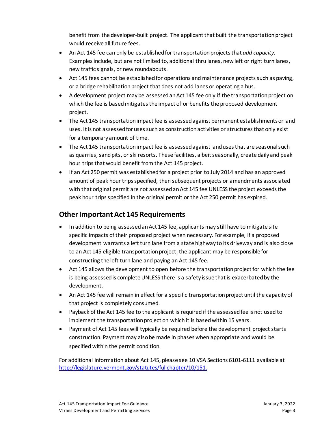benefit from the developer-built project. The applicant that built the transportation project would receive all future fees.

- An Act 145 fee can only be established for transportation projects that *add capacity*. Examples include, but are not limited to, additional thru lanes, new left or right turn lanes, new traffic signals, or new roundabouts.
- Act 145 fees cannot be established for operations and maintenance projects such as paving, or a bridge rehabilitation project that does not add lanes or operating a bus.
- A development project may be assessed an Act 145 fee only if the transportation project on which the fee is based mitigates the impact of or benefits the proposed development project.
- The Act 145 transportation impact fee is assessed against permanent establishments or land uses. It is not assessed for uses such as constructionactivities or structuresthat only exist for a temporary amount of time.
- The Act 145 transportation impact fee is assessed against land uses that are seasonal such as quarries, sand pits, or ski resorts. These facilities, albeit seasonally, create daily and peak hour trips that would benefit from the Act 145 project.
- If an Act 250 permit was establishedfor a project prior to July 2014 and has an approved amount of peak hour trips specified, then subsequent projects or amendments associated with that original permit are not assessed an Act 145 fee UNLESS the project exceeds the peak hour trips specified in the original permit or the Act 250 permit has expired.

### **Other Important Act 145 Requirements**

- In addition to being assessed an Act 145 fee, applicants may still have to mitigate site specific impacts of their proposed project when necessary. For example, if a proposed development warrants a left turn lane from a state highway to its driveway and is also close to an Act 145 eligible transportation project, the applicant may be responsible for constructing the left turn lane and paying an Act 145 fee.
- Act 145 allows the development to open before the transportation project for which the fee is being assessed is complete UNLESS there is a safety issue that is exacerbated by the development.
- An Act 145 fee will remain in effect for a specific transportation project until the capacity of that project is completely consumed.
- Payback of the Act 145 fee to the applicant is required if the assessed fee is not used to implement the transportation project on which it is based within 15 years.
- Payment of Act 145 fees will typically be required before the development project starts construction. Payment may also be made in phases when appropriate and would be specified within the permit condition.

For additional information about Act 145, please see 10 VSA Sections 6101-6111 available at [http://legislature.vermont.gov/statutes/fullchapter/10/151.](http://legislature.vermont.gov/statutes/fullchapter/10/151)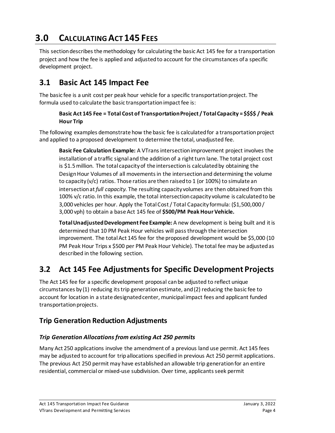# <span id="page-5-0"></span>**3.0 CALCULATING ACT 145 FEES**

This section describes the methodology for calculating the basic Act 145 fee for a transportation project and how the fee is applied and adjusted to account for the circumstances of a specific development project.

## <span id="page-5-1"></span>**3.1 Basic Act 145 Impact Fee**

The basic fee is a unit cost per peak hour vehicle for a specific transportation project. The formula used to calculate the basic transportation impact fee is:

#### **Basic Act 145 Fee = Total Cost of Transportation Project / Total Capacity = \$\$\$\$ / Peak Hour Trip**

The following examples demonstrate how the basic fee is calculated for a transportation project and applied to a proposed development to determine the total, unadjusted fee.

**Basic Fee Calculation Example:** A VTrans intersection improvement project involves the installation of a traffic signal and the addition of a right turn lane. The total project cost is \$1.5million. The total capacity of the intersection is calculated by obtaining the Design Hour Volumes of all movements in the intersection and determining the volume to capacity (v/c) ratios. Those ratios are then raised to 1 (or 100%) to simulate an intersection at *full capacity.* The resulting capacity volumes are then obtained from this 100% v/c ratio. In this example, the total intersection capacity volume is calculated to be 3,000 vehicles per hour. Apply the Total Cost / Total Capacity formula: (\$1,500,000 / 3,000 vph) to obtain a base Act 145 fee of **\$500/PM Peak Hour Vehicle.** 

**Total Unadjusted Development Fee Example:** A new development is being built and it is determined that 10 PM Peak Hour vehicles will passthrough the intersection improvement. The total Act 145 fee for the proposed development would be \$5,000 (10 PM Peak Hour Trips x \$500 per PM Peak Hour Vehicle). The total fee may be adjusted as described in the following section.

## <span id="page-5-2"></span>**3.2 Act 145 Fee Adjustments for Specific Development Projects**

The Act 145 fee for a specific development proposal can be adjusted to reflect unique circumstances by (1) reducing its trip generation estimate, and (2) reducing the basic fee to account for location in a state designated center, municipal impact fees and applicant funded transportation projects.

## **Trip Generation Reduction Adjustments**

#### *Trip Generation Allocations from existing Act 250 permits*

Many Act 250 applications involve the amendment of a previous land use permit. Act 145 fees may be adjusted to account for trip allocations specified in previous Act 250 permit applications. The previous Act 250 permit may have established an allowable trip generation for an entire residential, commercial or mixed-use subdivision. Over time, applicants seek permit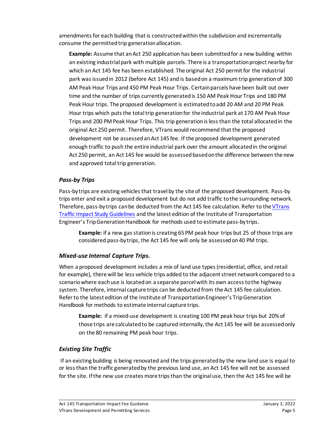amendments for each building that is constructed within the subdivision and incrementally consume the permitted trip generation allocation.

**Example:** Assume that an Act 250 application has been submitted for a new building within an existing industrial park with multiple parcels. There is a transportation project nearby for which an Act 145 fee has been established. The original Act 250 permit for the industrial park was issued in 2012 (before Act 145) and is based on a maximum trip generation of 300 AM Peak Hour Trips and 450 PM Peak Hour Trips. Certain parcels have been built out over time and the number of trips currently generated is 150 AM Peak Hour Trips and 180 PM Peak Hour trips. The proposed development is estimated to add 20 AM and 20 PM Peak Hour trips which puts the total trip generation for the industrial park at 170 AM Peak Hour Trips and 200 PM Peak Hour Trips. This trip generation is less than the total allocated in the original Act 250 permit. Therefore, VTrans would recommend that the proposed development not be assessed an Act 145 fee. If the proposed development generated enough traffic to push the entire industrial park over the amount allocated in the original Act 250 permit, an Act 145 fee would be assessed based on the difference between the new and approved total trip generation.

#### *Pass-by Trips*

Pass-by trips are existing vehicles that travel by the site of the proposed development. Pass-by trips enter and exit a proposed development but do not add traffic to the surrounding network. Therefore, pass-by trips can be deducted from the Act 145 fee calculation. Refer to the [VTrans](http://vtrans.vermont.gov/sites/aot/files/planning/documents/permittingservices/VTransTraffic%20Impact%20Study%20Guidelines%20Oct%202008.pdf)  [Traffic Impact Study Guidelines](http://vtrans.vermont.gov/sites/aot/files/planning/documents/permittingservices/VTransTraffic%20Impact%20Study%20Guidelines%20Oct%202008.pdf) and the latest edition of the Institute of Transportation Engineer's Trip Generation Handbook for methods used to estimate pass-by trips.

**Example:** if a new gas station is creating 65 PM peak hour trips but 25 of those trips are considered pass-by trips, the Act 145 fee will only be assessed on 40 PM trips.

#### *Mixed-use Internal Capture Trips.*

When a proposed development includes a mix of land use types (residential, office, and retail for example), there will be less vehicle trips added to the adjacent street network compared to a scenario where each use is located on a separate parcel with its own access to the highway system. Therefore, internal capture trips can be deducted from the Act 145 fee calculation. Refer to the latest edition of the Institute of Transportation Engineer's Trip Generation Handbook for methods to estimate internal capture trips.

**Example:** if a mixed-use development is creating 100 PM peak hour trips but 20% of those trips are calculated to be captured internally, the Act 145 fee will be assessed only on the 80 remaining PM peak hour trips.

#### *Existing Site Traffic*

If an existing building is being renovated and the trips generated by the new land use is equal to or less than the traffic generated by the previous land use, an Act 145 fee will not be assessed for the site. If the new use creates more trips than the original use, then the Act 145 fee will be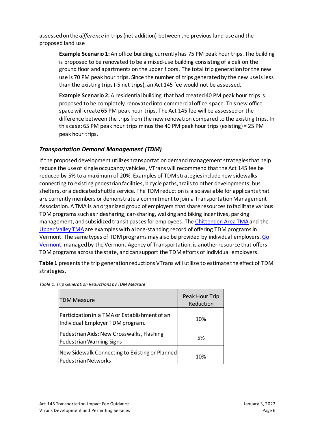assessed on the *difference* in trips (net addition) between the previous land use and the proposed land use

**Example Scenario 1:** An office building currently has 75 PM peak hour trips. The building is proposed to be renovated to be a mixed-use building consisting of a deli on the ground floor and apartments on the upper floors. The total trip generation for the new use is 70 PM peak hour trips. Since the number of trips generated by the new use is less than the existing trips (-5 net trips), an Act 145 fee would not be assessed.

**Example Scenario 2:** A residential building that had created 40 PM peak hour trips is proposed to be completely renovated into commercial office space. This new office space will create 65 PM peak hour trips. The Act 145 fee will be assessed on the difference between the trips from the new renovation compared to the existing trips. In this case: 65 PM peak hour trips minus the 40 PM peak hour trips (existing) = 25 PM peak hour trips.

#### *Transportation Demand Management (TDM)*

If the proposed development utilizes transportation demand management strategies that help reduce the use of single occupancy vehicles, VTrans will recommend that the Act 145 fee be reduced by 5% to a maximum of 20%. Examples of TDM strategies include new sidewalks connecting to existing pedestrian facilities, bicycle paths, trails to other developments, bus shelters, or a dedicated shuttle service. The TDM reduction is also available for applicants that are currently members or demonstrate a commitment to join a Transportation Management Association. A TMA is an organized group of employers that share resources to facilitate various TDM programs such as ridesharing, car-sharing, walking and biking incentives, parking management, and subsidized transit passes for employees. The [Chittenden Area TMA](https://catmavt.org/) and the [Upper Valley TMA](http://vitalcommunities.org/transportation/)are examples with a long-standing record of offering TDM programs in Vermont. The same types of TDM programs may also be provided by individual employers[. Go](https://www.connectingcommuters.org/)  [Vermont,](https://www.connectingcommuters.org/) managed by the Vermont Agency of Transportation, is another resource that offers TDM programs across the state, and can support the TDM efforts of individual employers.

**Table 1** presents the trip generation reductions VTrans will utilize to estimate the effect of TDM strategies.

| <b>TDM Measure</b>                                                                | Peak Hour Trip<br>Reduction |
|-----------------------------------------------------------------------------------|-----------------------------|
| Participation in a TMA or Establishment of an<br>Individual Employer TDM program. | 10%                         |
| Pedestrian Aids: New Crosswalks, Flashing<br>Pedestrian Warning Signs             | 5%                          |
| New Sidewalk Connecting to Existing or Planned<br>Pedestrian Networks             | 10%                         |

| Table 1: Trip Generation Reductions by TDM Measure |  |  |  |
|----------------------------------------------------|--|--|--|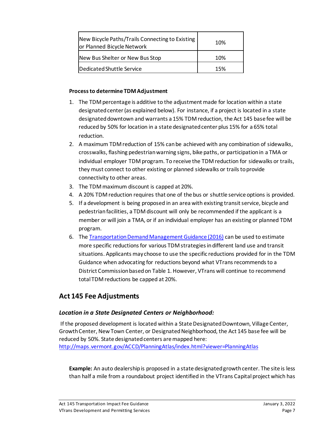| New Bicycle Paths/Trails Connecting to Existing<br>or Planned Bicycle Network | 10% |  |  |
|-------------------------------------------------------------------------------|-----|--|--|
| New Bus Shelter or New Bus Stop                                               | 10% |  |  |
| Dedicated Shuttle Service                                                     | 15% |  |  |

#### **Process to determine TDM Adjustment**

- 1. The TDM percentage is additive to the adjustment made for location within a state designated center (as explained below). For instance, if a project is located in a state designated downtown and warrants a 15% TDM reduction, the Act 145 base fee will be reduced by 50% for location in a state designated center plus 15% for a 65% total reduction.
- 2. A maximum TDM reduction of 15% can be achieved with any combination of sidewalks, crosswalks, flashing pedestrian warning signs, bike paths, or participation in a TMA or individual employer TDM program. To receive the TDM reduction for sidewalks or trails, they must connect to other existing or planned sidewalks or trails to provide connectivity to other areas.
- 3. The TDM maximum discount is capped at 20%.
- 4. A 20% TDM reduction requires that one of the bus or shuttle service options is provided.
- 5. If a development is being proposed in an area with existing transit service, bicycle and pedestrian facilities, a TDM discount will only be recommended if the applicant is a member or will join a TMA, or if an individual employer has an existing or planned TDM program.
- 6. The [Transportation Demand Management Guidance \(2016\)](http://vtrans.vermont.gov/sites/aot/files/planning/documents/trafficresearch/VTrans%20TDM%20Guidance%20Feb%202017.pdf) can be used to estimate more specific reductions for various TDM strategies in different land use and transit situations. Applicants may choose to use the specific reductions provided for in the TDM Guidance when advocating for reductions beyond what VTrans recommends to a District Commission based on Table 1. However, VTrans will continue to recommend total TDM reductions be capped at 20%.

## **Act 145 Fee Adjustments**

#### *Location in a State Designated Centers or Neighborhood:*

If the proposed development is located within a State Designated Downtown, Village Center, Growth Center, New Town Center, or Designated Neighborhood, the Act 145 base fee will be reduced by 50%. State designated centers are mapped here: <http://maps.vermont.gov/ACCD/PlanningAtlas/index.html?viewer=PlanningAtlas>

**Example:** An auto dealership is proposed in a state designated growth center. The site is less than half a mile from a roundabout project identified in the VTrans Capital project which has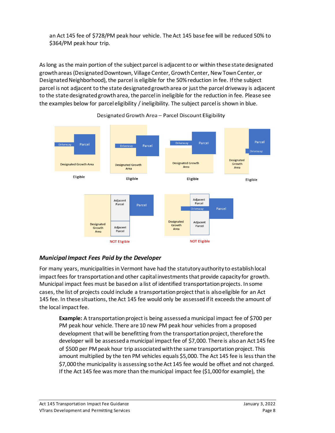an Act 145 fee of \$728/PM peak hour vehicle. The Act 145 base fee will be reduced 50% to \$364/PM peak hour trip.

As long as the main portion of the subject parcel is adjacent to or within these state designated growth areas (Designated Downtown, Village Center, Growth Center, New Town Center, or Designated Neighborhood), the parcel is eligible for the 50% reduction in fee. If the subject parcel is not adjacent to the state designated growth area or just the parcel driveway is adjacent to the state designated growth area, the parcel in ineligible for the reduction in fee. Please see the examples below for parcel eligibility / ineligibility. The subject parcel is shown in blue.



#### Designated Growth Area - Parcel Discount Eligibility

#### *Municipal Impact Fees Paid by the Developer*

For many years, municipalities in Vermont have had the statutory authority to establish local impact fees for transportation and other capital investments that provide capacity for growth. Municipal impact fees must be based on a list of identified transportation projects. In some cases, the list of projects could include a transportation project that is also eligible for an Act 145 fee. In these situations, the Act 145 fee would only be assessed if it exceeds the amount of the local impact fee.

**Example:** A transportation project is being assessed a municipal impact fee of \$700 per PM peak hour vehicle. There are 10 new PM peak hour vehicles from a proposed development that will be benefitting from the transportation project, therefore the developer will be assessed a municipal impact fee of \$7,000. There is also an Act 145 fee of \$500 per PM peak hour trip associated with the same transportation project. This amount multiplied by the ten PM vehicles equals \$5,000. The Act 145 fee is less than the \$7,000 the municipality is assessing so the Act 145 fee would be offset and not charged. If the Act 145 fee was more than the municipal impact fee (\$1,000 for example), the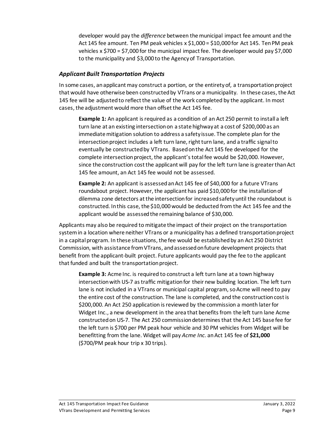developer would pay the *difference* between the municipal impact fee amount and the Act 145 fee amount. Ten PM peak vehicles  $x \xi$ 1,000 = \$10,000 for Act 145. Ten PM peak vehicles x \$700 = \$7,000 for the municipal impact fee. The developer would pay \$7,000 to the municipality and \$3,000 to the Agency of Transportation.

#### *Applicant Built Transportation Projects*

In some cases, an applicant may construct a portion, or the entirety of, a transportation project that would have otherwise been constructed by VTrans or a municipality. In these cases, the Act 145 fee will be adjusted to reflect the value of the work completed by the applicant. In most cases, the adjustment would more than offset the Act 145 fee.

**Example 1:** An applicant is required as a condition of an Act 250 permit to install a left turn lane at an existing intersectionon a state highway at a cost of \$200,000 as an immediate mitigation solution to address a safety issue. The complete plan for the intersection project includes a left turn lane, right turn lane, and a traffic signalto eventually be constructedby VTrans. Based on the Act 145 fee developed for the complete intersection project, the applicant's total fee would be \$20,000. However, since the construction cost the applicant will pay for the left turn lane is greater than Act 145 fee amount, an Act 145 fee would not be assessed.

**Example 2:** An applicant is assessed an Act 145 fee of \$40,000 for a future VTrans roundabout project. However, the applicant has paid \$10,000 for the installation of dilemma zone detectors atthe intersection for increased safety until the roundabout is constructed. In this case, the \$10,000 would be deducted from the Act 145 fee and the applicant would be assessedthe remaining balance of \$30,000.

Applicants may also be required to mitigate the impact of their project on the transportation system in a location where neither VTrans or a municipality has a defined transportation project in a capital program. In these situations, the fee would be established by an Act 250 District Commission, with assistance from VTrans, and assessed on future development projects that benefit from the applicant-built project. Future applicants would pay the fee to the applicant that funded and built the transportation project.

**Example 3:** Acme Inc. is required to construct a left turn lane at a town highway intersection with US-7 astraffic mitigation for their new building location. The left turn lane is not included in a VTrans or municipal capital program, so Acme will need to pay the entire cost of the construction. The lane is completed, and the construction cost is \$200,000. An Act 250 application is reviewed by the commission a month later for Widget Inc., a new development in the area that benefits from the left turn lane Acme constructed on US-7. The Act 250 commission determines that the Act 145 base fee for the left turn is \$700 per PM peak hour vehicle and 30 PM vehicles from Widget will be benefitting from the lane. Widget will pay *Acme Inc.* an Act 145 fee of **\$21,000** (\$700/PM peak hour trip x 30 trips).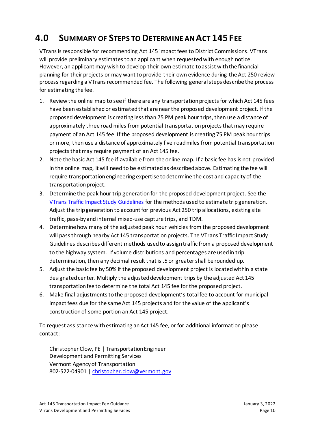# <span id="page-11-0"></span>**4.0 SUMMARY OF STEPS TO DETERMINE AN ACT 145 FEE**

VTrans is responsible for recommending Act 145 impact fees to District Commissions. VTrans will provide preliminary estimates to an applicant when requested with enough notice. However, an applicant may wish to develop their own estimate to assist with the financial planning for their projects or may want to provide their own evidence during the Act 250 review process regarding a VTrans recommended fee. The following general steps describe the process for estimating the fee.

- 1. Review the online map to see if there are any transportation projects for which Act 145 fees have been established or estimated that are near the proposed development project. If the proposed development is creating less than 75 PM peak hour trips, then use a distance of approximately three road miles from potential transportation projects that may require payment of an Act 145 fee. If the proposed development is creating 75 PM peak hour trips or more, then use a distance of approximately five road miles from potential transportation projects that may require payment of an Act 145 fee.
- 2. Note the basic Act 145 fee if available from the online map. If a basic fee has is not provided in the online map, it will need to be estimated as described above. Estimating the fee will require transportation engineering expertise to determine the cost and capacity of the transportation project.
- 3. Determine the peak hour trip generation for the proposed development project. See the [VTrans Traffic Impact](http://vtrans.vermont.gov/sites/aot/files/planning/documents/permittingservices/VTransTraffic%20Impact%20Study%20Guidelines%20Oct%202008.pdf) Study Guidelines for the methods used to estimate trip generation. Adjust the trip generation to account for previous Act 250 trip allocations, existing site traffic, pass-by and internal mixed-use capture trips, and TDM.
- 4. Determine how many of the adjusted peak hour vehicles from the proposed development will pass through nearby Act 145 transportation projects. The VTrans Traffic Impact Study Guidelines describes different methods used to assign traffic from a proposed development to the highway system. If volume distributions and percentages are used in trip determination, then any decimal result that is .5 or greater shall be rounded up.
- 5. Adjust the basic fee by 50% if the proposed development project is located within a state designated center. Multiply the adjusted development trips by the adjusted Act 145 transportation fee to determine the total Act 145 fee for the proposed project.
- 6. Make final adjustments to the proposed development's total fee to account for municipal impact fees due for the same Act 145 projects and for the value of the applicant's construction of some portion an Act 145 project.

To request assistance with estimating an Act 145 fee, or for additional information please contact:

Christopher Clow, PE | Transportation Engineer Development and Permitting Services Vermont Agency of Transportation 802-522-04901 | [christopher.clow@vermont.gov](mailto:christopher.clow@vermont.gov)